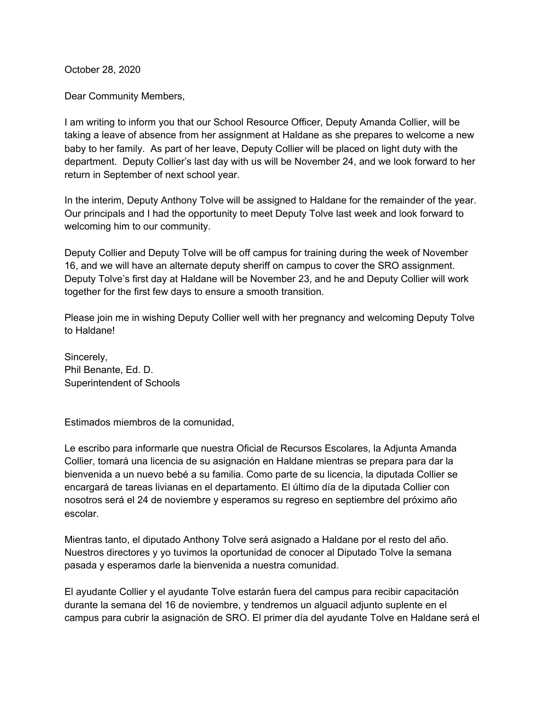October 28, 2020

Dear Community Members,

I am writing to inform you that our School Resource Officer, Deputy Amanda Collier, will be taking a leave of absence from her assignment at Haldane as she prepares to welcome a new baby to her family. As part of her leave, Deputy Collier will be placed on light duty with the department. Deputy Collier's last day with us will be November 24, and we look forward to her return in September of next school year.

In the interim, Deputy Anthony Tolve will be assigned to Haldane for the remainder of the year. Our principals and I had the opportunity to meet Deputy Tolve last week and look forward to welcoming him to our community.

Deputy Collier and Deputy Tolve will be off campus for training during the week of November 16, and we will have an alternate deputy sheriff on campus to cover the SRO assignment. Deputy Tolve's first day at Haldane will be November 23, and he and Deputy Collier will work together for the first few days to ensure a smooth transition.

Please join me in wishing Deputy Collier well with her pregnancy and welcoming Deputy Tolve to Haldane!

Sincerely, Phil Benante, Ed. D. Superintendent of Schools

Estimados miembros de la comunidad,

Le escribo para informarle que nuestra Oficial de Recursos Escolares, la Adjunta Amanda Collier, tomará una licencia de su asignación en Haldane mientras se prepara para dar la bienvenida a un nuevo bebé a su familia. Como parte de su licencia, la diputada Collier se encargará de tareas livianas en el departamento. El último día de la diputada Collier con nosotros será el 24 de noviembre y esperamos su regreso en septiembre del próximo año escolar.

Mientras tanto, el diputado Anthony Tolve será asignado a Haldane por el resto del año. Nuestros directores y yo tuvimos la oportunidad de conocer al Diputado Tolve la semana pasada y esperamos darle la bienvenida a nuestra comunidad.

El ayudante Collier y el ayudante Tolve estarán fuera del campus para recibir capacitación durante la semana del 16 de noviembre, y tendremos un alguacil adjunto suplente en el campus para cubrir la asignación de SRO. El primer día del ayudante Tolve en Haldane será el